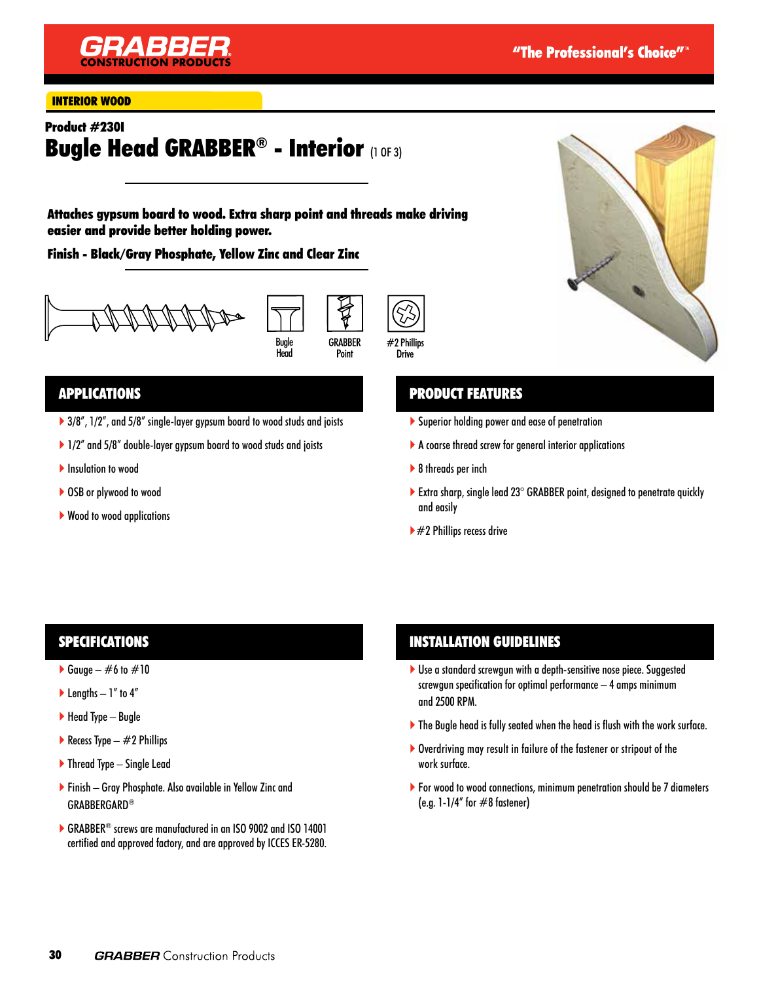

#### INTERIOR WOOD

# Product #230I Bugle Head GRABBER® - Interior (1 OF 3)

Attaches gypsum board to wood. Extra sharp point and threads make driving easier and provide better holding power.

Finish - Black/Gray Phosphate, Yellow Zinc and Clear Zinc







### APPLICATIONS

- ▶ 3/8", 1/2", and 5/8" single-layer gypsum board to wood studs and joists
- ▶ 1/2" and 5/8" double-layer gypsum board to wood studs and joists
- **Insulation to wood**
- ▶ OSB or plywood to wood
- ▶ Wood to wood applications

### PRODUCT FEATURES

- Superior holding power and ease of penetration
- A coarse thread screw for general interior applications
- ▶ 8 threads per inch
- Extra sharp, single lead  $23^\circ$  GRABBER point, designed to penetrate quickly and easily
- $\blacktriangleright$  #2 Phillips recess drive

### SPECIFICATIONS

- Gauge  $\#6$  to  $\#10$
- $\blacktriangleright$  Lengths 1" to 4"
- $\blacktriangleright$  Head Type Bugle
- Recess Type  $-$  #2 Phillips
- ▶ Thread Type Single Lead
- Finish Gray Phosphate. Also available in Yellow Zinc and GRABBERGARD®
- ▶ GRABBER<sup>®</sup> screws are manufactured in an ISO 9002 and ISO 14001 certified and approved factory, and are approved by ICCES ER-5280.

### INSTALLATION GUIDELINES

- Use a standard screwgun with a depth-sensitive nose piece. Suggested screwgun specification for optimal performance – 4 amps minimum and 2500 RPM.
- The Bugle head is fully seated when the head is flush with the work surface.
- Overdriving may result in failure of the fastener or stripout of the work surface.
- ▶ For wood to wood connections, minimum penetration should be 7 diameters (e.g.  $1-1/4$ " for  $\#8$  fastener)

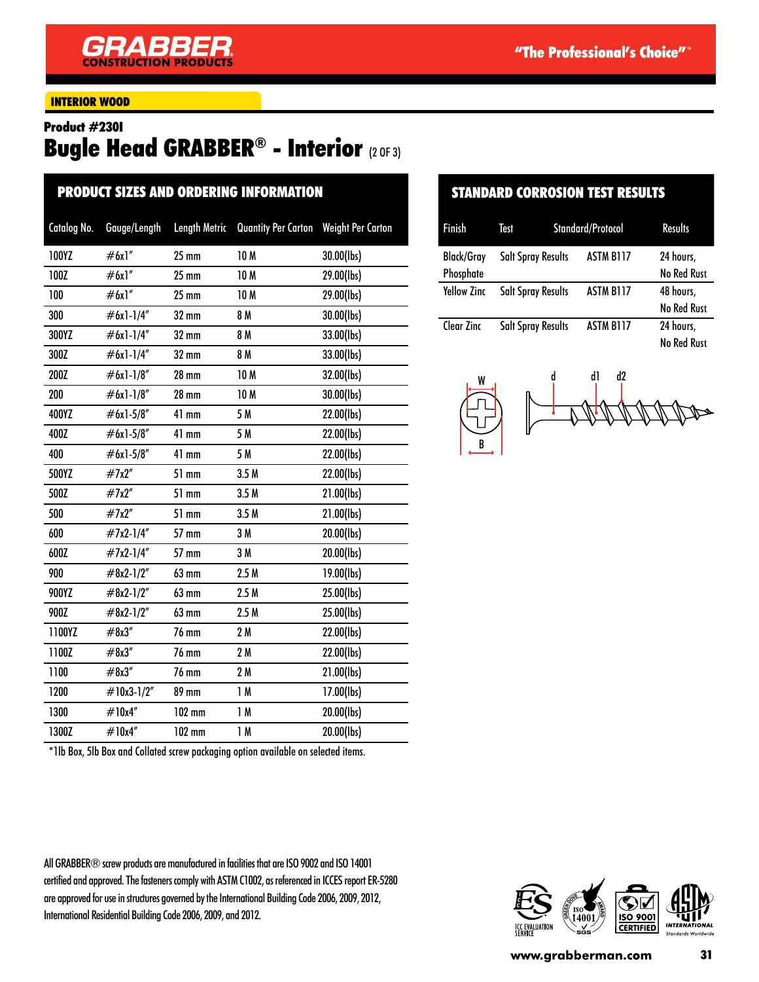### INTERIOR WOOD

#### Product #230I

# Bugle Head GRABBER® - Interior (2 OF 3)

| <b>PRODUCT SIZES AND ORDERING INFORMATION</b> |              |                      |                            |                          |  |  |
|-----------------------------------------------|--------------|----------------------|----------------------------|--------------------------|--|--|
| Catalog No.                                   | Gauge/Length | <b>Length Metric</b> | <b>Quantity Per Carton</b> | <b>Weight Per Carton</b> |  |  |
| 100YZ                                         | #6x1"        | $25$ mm              | <b>10M</b>                 | 30.00(lbs)               |  |  |
| 100Z                                          | #6x1"        | $25 \text{ mm}$      | 10 M                       | 29.00(lbs)               |  |  |
| 100                                           | #6x1"        | $25 \text{ mm}$      | 10M                        | 29.00(lbs)               |  |  |
| 300                                           | $#6x1-1/4"$  | $32 \text{ mm}$      | 8 M                        | 30.00(lbs)               |  |  |
| 300YZ                                         | #6x1-1/4"    | 32 mm                | 8 M                        | 33.00(lbs)               |  |  |
| 300Z                                          | #6x1-1/4"    | 32 mm                | 8 M                        | 33.00(lbs)               |  |  |
| 200Z                                          | #6x1-1/8"    | <b>28 mm</b>         | 10 <sub>M</sub>            | 32.00(lbs)               |  |  |
| 200                                           | #6x1-1/8"    | <b>28 mm</b>         | 10 M                       | 30.00(lbs)               |  |  |
| 400YZ                                         | #6x1-5/8"    | $41$ mm              | 5 M                        | 22.00(lbs)               |  |  |
| 400Z                                          | #6x1-5/8"    | 41 mm                | 5 M                        | 22.00(lbs)               |  |  |
| 400                                           | $#6x1-5/8"$  | 41 mm                | 5 M                        | 22.00(lbs)               |  |  |
| 500YZ                                         | #7x2"        | 51 mm                | 3.5M                       | 22.00(lbs)               |  |  |
| 500Z                                          | #7x2"        | 51 mm                | 3.5M                       | 21.00(lbs)               |  |  |
| 500                                           | #7x2"        | 51 mm                | 3.5M                       | 21.00(lbs)               |  |  |
| 600                                           | #7x2-1/4"    | 57 mm                | 3M                         | 20.00(lbs)               |  |  |
| 600Z                                          | #7x2-1/4"    | 57 mm                | 3 M                        | 20.00(lbs)               |  |  |
| 900                                           | #8x2-1/2"    | 63 mm                | 2.5M                       | 19.00(lbs)               |  |  |
| 900YZ                                         | $#8x2-1/2"$  | 63 mm                | 2.5M                       | 25.00(lbs)               |  |  |
| 900Z                                          | #8x2-1/2"    | 63 mm                | 2.5M                       | 25.00(lbs)               |  |  |
| 1100YZ                                        | #8x3''       | <b>76 mm</b>         | 2M                         | 22.00(lbs)               |  |  |
| 1100Z                                         | #8x3''       | 76 mm                | 2M                         | 22.00(lbs)               |  |  |
| 1100                                          | #8x3''       | <b>76 mm</b>         | 2M                         | 21.00(lbs)               |  |  |
| 1200                                          | #10x3-1/2"   | <b>89 mm</b>         | 1M                         | 17.00(lbs)               |  |  |
| 1300                                          | #10x4"       | $102$ mm             | 1M                         | 20.00(lbs)               |  |  |
| 1300Z                                         | #10x4"       | $102$ mm             | 1M                         | 20.00(lbs)               |  |  |

## STANDARD CORROSION TEST RESULTS

| <b>Finish</b>      | Test                      | Standard/Protocol |                  | <b>Results</b>     |
|--------------------|---------------------------|-------------------|------------------|--------------------|
| Black/Gray         | <b>Salt Spray Results</b> |                   | ASTM B117        | 24 hours,          |
| Phosphate          |                           |                   |                  | <b>No Red Rust</b> |
| <b>Yellow Zinc</b> | <b>Salt Spray Results</b> |                   | <b>ASTM B117</b> | 48 hours,          |
|                    |                           |                   |                  | <b>No Red Rust</b> |
| Clear Zinc         | <b>Salt Spray Results</b> |                   | <b>ASTM B117</b> | 24 hours,          |
|                    |                           |                   |                  | No Red Rust        |



\*1lb Box, 5lb Box and Collated screw packaging option available on selected items.

All GRABBER® screw products are manufactured in facilities that are ISO 9002 and ISO 14001 certified and approved. The fasteners comply with ASTM C1002, as referenced in ICCES report ER-5280 are approved for use in structures governed by the International Building Code 2006, 2009, 2012, International Residential Building Code 2006, 2009, and 2012.